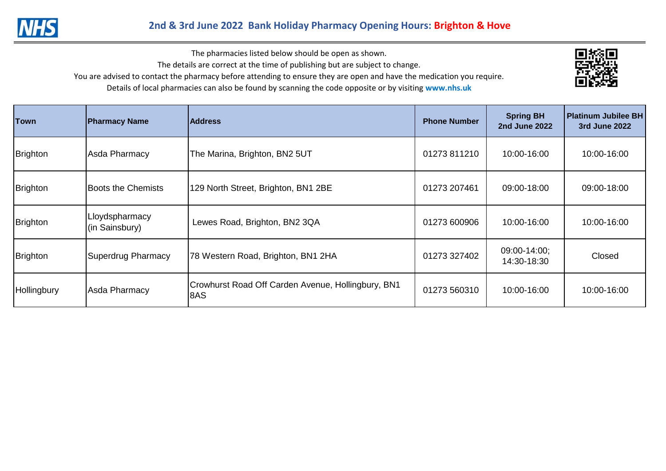

The pharmacies listed below should be open as shown.

The details are correct at the time of publishing but are subject to change.

You are advised to contact the pharmacy before attending to ensure they are open and have the medication you require.

Details of local pharmacies can also be found by scanning the code opposite or by visiting **www.nhs.uk** 

| <b>Town</b> | <b>Pharmacy Name</b>             | <b>Address</b>                                            | <b>Phone Number</b> | <b>Spring BH</b><br><b>2nd June 2022</b> | <b>Platinum Jubilee BH</b><br>3rd June 2022 |
|-------------|----------------------------------|-----------------------------------------------------------|---------------------|------------------------------------------|---------------------------------------------|
| Brighton    | Asda Pharmacy                    | The Marina, Brighton, BN2 5UT                             | 01273 811210        | 10:00-16:00                              | 10:00-16:00                                 |
| Brighton    | <b>Boots the Chemists</b>        | 129 North Street, Brighton, BN1 2BE                       | 01273 207461        | 09:00-18:00                              | 09:00-18:00                                 |
| Brighton    | Lloydspharmacy<br>(in Sainsbury) | Lewes Road, Brighton, BN2 3QA                             | 01273 600906        | 10:00-16:00                              | 10:00-16:00                                 |
| Brighton    | <b>Superdrug Pharmacy</b>        | 78 Western Road, Brighton, BN1 2HA                        | 01273 327402        | 09:00-14:00;<br>14:30-18:30              | Closed                                      |
| Hollingbury | Asda Pharmacy                    | Crowhurst Road Off Carden Avenue, Hollingbury, BN1<br>8AS | 01273 560310        | 10:00-16:00                              | 10:00-16:00                                 |

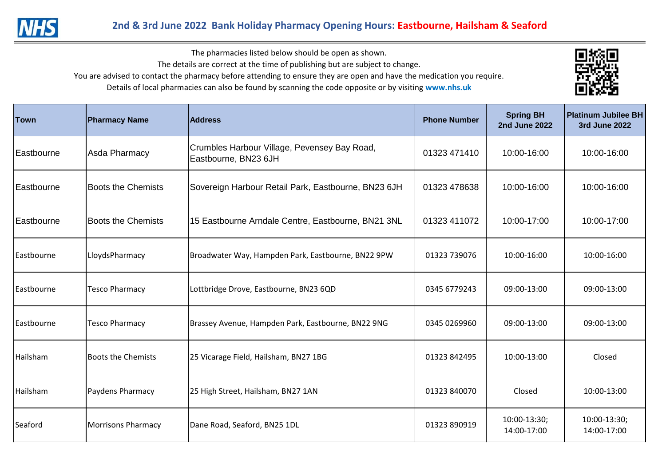

The pharmacies listed below should be open as shown.

The details are correct at the time of publishing but are subject to change.

You are advised to contact the pharmacy before attending to ensure they are open and have the medication you require.

Details of local pharmacies can also be found by scanning the code opposite or by visiting **www.nhs.uk** 

| Town              | <b>Pharmacy Name</b>      | <b>Address</b>                                                       | <b>Phone Number</b> | <b>Spring BH</b><br><b>2nd June 2022</b> | <b>Platinum Jubilee BH</b><br><b>3rd June 2022</b> |
|-------------------|---------------------------|----------------------------------------------------------------------|---------------------|------------------------------------------|----------------------------------------------------|
| Eastbourne        | Asda Pharmacy             | Crumbles Harbour Village, Pevensey Bay Road,<br>Eastbourne, BN23 6JH | 01323 471410        | 10:00-16:00                              | 10:00-16:00                                        |
| Eastbourne        | <b>Boots the Chemists</b> | Sovereign Harbour Retail Park, Eastbourne, BN23 6JH                  | 01323 478638        | 10:00-16:00                              | 10:00-16:00                                        |
| <b>Eastbourne</b> | <b>Boots the Chemists</b> | 15 Eastbourne Arndale Centre, Eastbourne, BN21 3NL                   | 01323 411072        | 10:00-17:00                              | 10:00-17:00                                        |
| Eastbourne        | LloydsPharmacy            | Broadwater Way, Hampden Park, Eastbourne, BN22 9PW                   | 01323 739076        | 10:00-16:00                              | 10:00-16:00                                        |
| Eastbourne        | Tesco Pharmacy            | Lottbridge Drove, Eastbourne, BN23 6QD                               | 0345 6779243        | 09:00-13:00                              | 09:00-13:00                                        |
| Eastbourne        | Tesco Pharmacy            | Brassey Avenue, Hampden Park, Eastbourne, BN22 9NG                   | 0345 0269960        | 09:00-13:00                              | 09:00-13:00                                        |
| Hailsham          | <b>Boots the Chemists</b> | 25 Vicarage Field, Hailsham, BN27 1BG                                | 01323 842495        | 10:00-13:00                              | Closed                                             |
| Hailsham          | Paydens Pharmacy          | 25 High Street, Hailsham, BN27 1AN                                   | 01323 840070        | Closed                                   | 10:00-13:00                                        |
| Seaford           | <b>Morrisons Pharmacy</b> | Dane Road, Seaford, BN25 1DL                                         | 01323 890919        | 10:00-13:30;<br>14:00-17:00              | 10:00-13:30;<br>14:00-17:00                        |

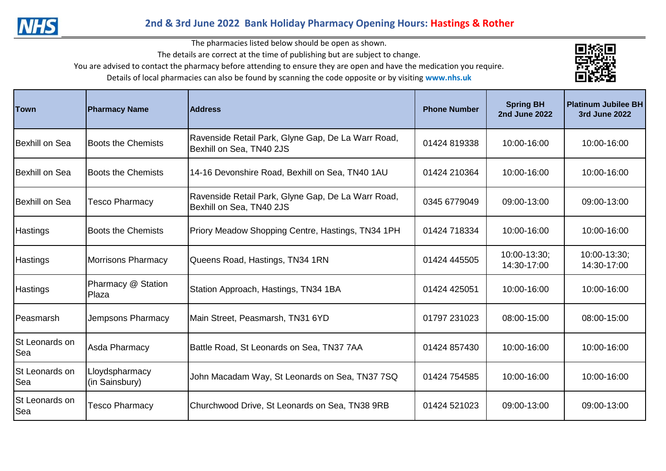

## **2nd & 3rd June 2022 Bank Holiday Pharmacy Opening Hours: Hastings & Rother**

The pharmacies listed below should be open as shown.

The details are correct at the time of publishing but are subject to change.

You are advised to contact the pharmacy before attending to ensure they are open and have the medication you require.

Details of local pharmacies can also be found by scanning the code opposite or by visiting **www.nhs.uk** 



| <b>Town</b>                   | <b>Pharmacy Name</b>             | <b>Address</b>                                                                 | <b>Phone Number</b> | <b>Spring BH</b><br><b>2nd June 2022</b> | <b>Platinum Jubilee BH</b><br>3rd June 2022 |
|-------------------------------|----------------------------------|--------------------------------------------------------------------------------|---------------------|------------------------------------------|---------------------------------------------|
| <b>Bexhill on Sea</b>         | <b>Boots the Chemists</b>        | Ravenside Retail Park, Glyne Gap, De La Warr Road,<br>Bexhill on Sea, TN40 2JS | 01424 819338        | 10:00-16:00                              | 10:00-16:00                                 |
| Bexhill on Sea                | <b>Boots the Chemists</b>        | 14-16 Devonshire Road, Bexhill on Sea, TN40 1AU                                | 01424 210364        | 10:00-16:00                              | 10:00-16:00                                 |
| Bexhill on Sea                | Tesco Pharmacy                   | Ravenside Retail Park, Glyne Gap, De La Warr Road,<br>Bexhill on Sea, TN40 2JS | 0345 6779049        | 09:00-13:00                              | 09:00-13:00                                 |
| <b>Hastings</b>               | <b>Boots the Chemists</b>        | Priory Meadow Shopping Centre, Hastings, TN34 1PH                              | 01424 718334        | 10:00-16:00                              | 10:00-16:00                                 |
| <b>Hastings</b>               | <b>Morrisons Pharmacy</b>        | Queens Road, Hastings, TN34 1RN                                                | 01424 445505        | 10:00-13:30;<br>14:30-17:00              | 10:00-13:30;<br>14:30-17:00                 |
| <b>Hastings</b>               | Pharmacy @ Station<br>Plaza      | Station Approach, Hastings, TN34 1BA                                           | 01424 425051        | 10:00-16:00                              | 10:00-16:00                                 |
| lPeasmarsh                    | Jempsons Pharmacy                | Main Street, Peasmarsh, TN31 6YD                                               | 01797 231023        | 08:00-15:00                              | 08:00-15:00                                 |
| St Leonards on<br><b>Sea</b>  | Asda Pharmacy                    | Battle Road, St Leonards on Sea, TN37 7AA                                      | 01424 857430        | 10:00-16:00                              | 10:00-16:00                                 |
| St Leonards on<br>Sea         | Lloydspharmacy<br>(in Sainsbury) | John Macadam Way, St Leonards on Sea, TN37 7SQ                                 | 01424 754585        | 10:00-16:00                              | 10:00-16:00                                 |
| St Leonards on<br><b>S</b> ea | <b>Tesco Pharmacy</b>            | Churchwood Drive, St Leonards on Sea, TN38 9RB                                 | 01424 521023        | 09:00-13:00                              | 09:00-13:00                                 |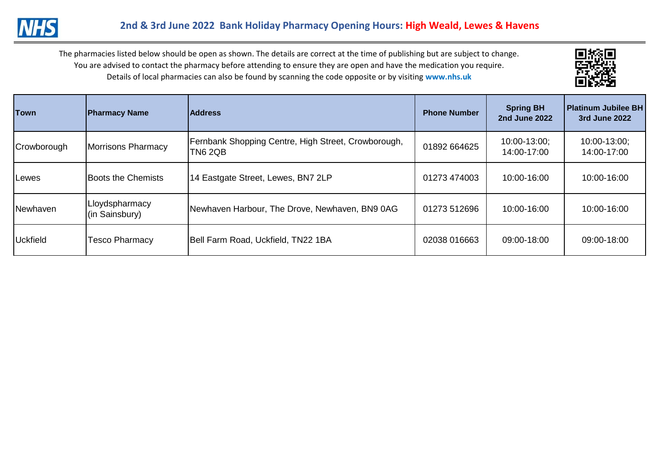

| <b>Town</b>     | <b>Pharmacy Name</b>             | <b>Address</b>                                                        | <b>Phone Number</b> | <b>Spring BH</b><br><b>2nd June 2022</b> | <b>Platinum Jubilee BH</b><br>3rd June 2022 |
|-----------------|----------------------------------|-----------------------------------------------------------------------|---------------------|------------------------------------------|---------------------------------------------|
| Crowborough     | Morrisons Pharmacy               | Fernbank Shopping Centre, High Street, Crowborough,<br><b>TN6 2QB</b> | 01892 664625        | 10:00-13:00;<br>14:00-17:00              | 10:00-13:00;<br>14:00-17:00                 |
| Lewes           | <b>Boots the Chemists</b>        | 14 Eastgate Street, Lewes, BN7 2LP                                    | 01273 474003        | 10:00-16:00                              | 10:00-16:00                                 |
| Newhaven        | Lloydspharmacy<br>(in Sainsbury) | Newhaven Harbour, The Drove, Newhaven, BN9 0AG                        | 01273 512696        | 10:00-16:00                              | 10:00-16:00                                 |
| <b>Uckfield</b> | <b>Tesco Pharmacy</b>            | Bell Farm Road, Uckfield, TN22 1BA                                    | 02038 016663        | 09:00-18:00                              | 09:00-18:00                                 |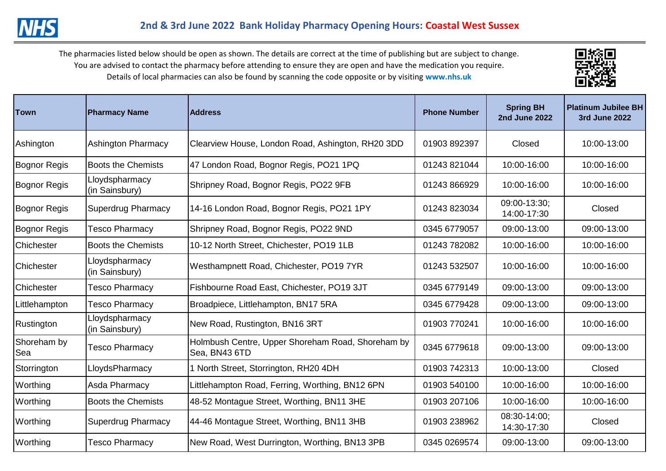

| Town                      | <b>Pharmacy Name</b>             | <b>Address</b>                                                     | <b>Phone Number</b> | <b>Spring BH</b><br><b>2nd June 2022</b> | <b>Platinum Jubilee BH</b><br><b>3rd June 2022</b> |
|---------------------------|----------------------------------|--------------------------------------------------------------------|---------------------|------------------------------------------|----------------------------------------------------|
| Ashington                 | <b>Ashington Pharmacy</b>        | Clearview House, London Road, Ashington, RH20 3DD                  | 01903 892397        | Closed                                   | 10:00-13:00                                        |
| Bognor Regis              | <b>Boots the Chemists</b>        | 47 London Road, Bognor Regis, PO21 1PQ                             | 01243 821044        | 10:00-16:00                              | 10:00-16:00                                        |
| Bognor Regis              | Lloydspharmacy<br>(in Sainsbury) | Shripney Road, Bognor Regis, PO22 9FB                              | 01243 866929        | 10:00-16:00                              | 10:00-16:00                                        |
| Bognor Regis              | <b>Superdrug Pharmacy</b>        | 14-16 London Road, Bognor Regis, PO21 1PY                          | 01243 823034        | 09:00-13:30;<br>14:00-17:30              | Closed                                             |
| Bognor Regis              | Tesco Pharmacy                   | Shripney Road, Bognor Regis, PO22 9ND                              | 0345 6779057        | 09:00-13:00                              | 09:00-13:00                                        |
| Chichester                | <b>Boots the Chemists</b>        | 10-12 North Street, Chichester, PO19 1LB                           | 01243 782082        | 10:00-16:00                              | 10:00-16:00                                        |
| Chichester                | Lloydspharmacy<br>(in Sainsbury) | Westhampnett Road, Chichester, PO19 7YR                            | 01243 532507        | 10:00-16:00                              | 10:00-16:00                                        |
| Chichester                | <b>Tesco Pharmacy</b>            | Fishbourne Road East, Chichester, PO19 3JT                         | 0345 6779149        | 09:00-13:00                              | 09:00-13:00                                        |
| Littlehampton             | <b>Tesco Pharmacy</b>            | Broadpiece, Littlehampton, BN17 5RA                                | 0345 6779428        | 09:00-13:00                              | 09:00-13:00                                        |
| Rustington                | Lloydspharmacy<br>(in Sainsbury) | New Road, Rustington, BN16 3RT                                     | 01903 770241        | 10:00-16:00                              | 10:00-16:00                                        |
| Shoreham by<br><b>Sea</b> | Tesco Pharmacy                   | Holmbush Centre, Upper Shoreham Road, Shoreham by<br>Sea, BN43 6TD | 0345 6779618        | 09:00-13:00                              | 09:00-13:00                                        |
| Storrington               | LloydsPharmacy                   | 1 North Street, Storrington, RH20 4DH                              | 01903 742313        | 10:00-13:00                              | Closed                                             |
| Worthing                  | <b>Asda Pharmacy</b>             | Littlehampton Road, Ferring, Worthing, BN12 6PN                    | 01903 540100        | 10:00-16:00                              | 10:00-16:00                                        |
| Worthing                  | <b>Boots the Chemists</b>        | 48-52 Montague Street, Worthing, BN11 3HE                          | 01903 207106        | 10:00-16:00                              | 10:00-16:00                                        |
| Worthing                  | <b>Superdrug Pharmacy</b>        | 44-46 Montague Street, Worthing, BN11 3HB                          | 01903 238962        | 08:30-14:00:<br>14:30-17:30              | Closed                                             |
| Worthing                  | <b>Tesco Pharmacy</b>            | New Road, West Durrington, Worthing, BN13 3PB                      | 0345 0269574        | 09:00-13:00                              | 09:00-13:00                                        |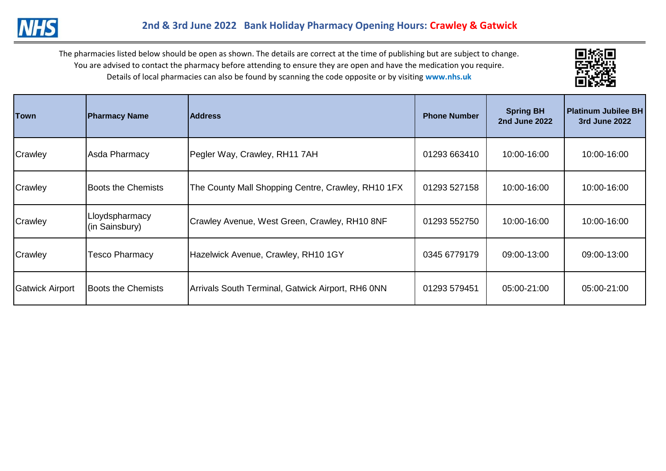

| Town                   | <b>Pharmacy Name</b>             | <b>Address</b>                                     | <b>Phone Number</b> | <b>Spring BH</b><br><b>2nd June 2022</b> | <b>Platinum Jubilee BH</b><br>3rd June 2022 |
|------------------------|----------------------------------|----------------------------------------------------|---------------------|------------------------------------------|---------------------------------------------|
| Crawley                | Asda Pharmacy                    | Pegler Way, Crawley, RH11 7AH                      | 01293 663410        | 10:00-16:00                              | 10:00-16:00                                 |
| Crawley                | <b>Boots the Chemists</b>        | The County Mall Shopping Centre, Crawley, RH10 1FX | 01293 527158        | 10:00-16:00                              | 10:00-16:00                                 |
| Crawley                | Lloydspharmacy<br>(in Sainsbury) | Crawley Avenue, West Green, Crawley, RH10 8NF      | 01293 552750        | 10:00-16:00                              | 10:00-16:00                                 |
| Crawley                | <b>Tesco Pharmacy</b>            | Hazelwick Avenue, Crawley, RH10 1GY                | 0345 6779179        | 09:00-13:00                              | 09:00-13:00                                 |
| <b>Gatwick Airport</b> | Boots the Chemists               | Arrivals South Terminal, Gatwick Airport, RH6 0NN  | 01293 579451        | 05:00-21:00                              | 05:00-21:00                                 |